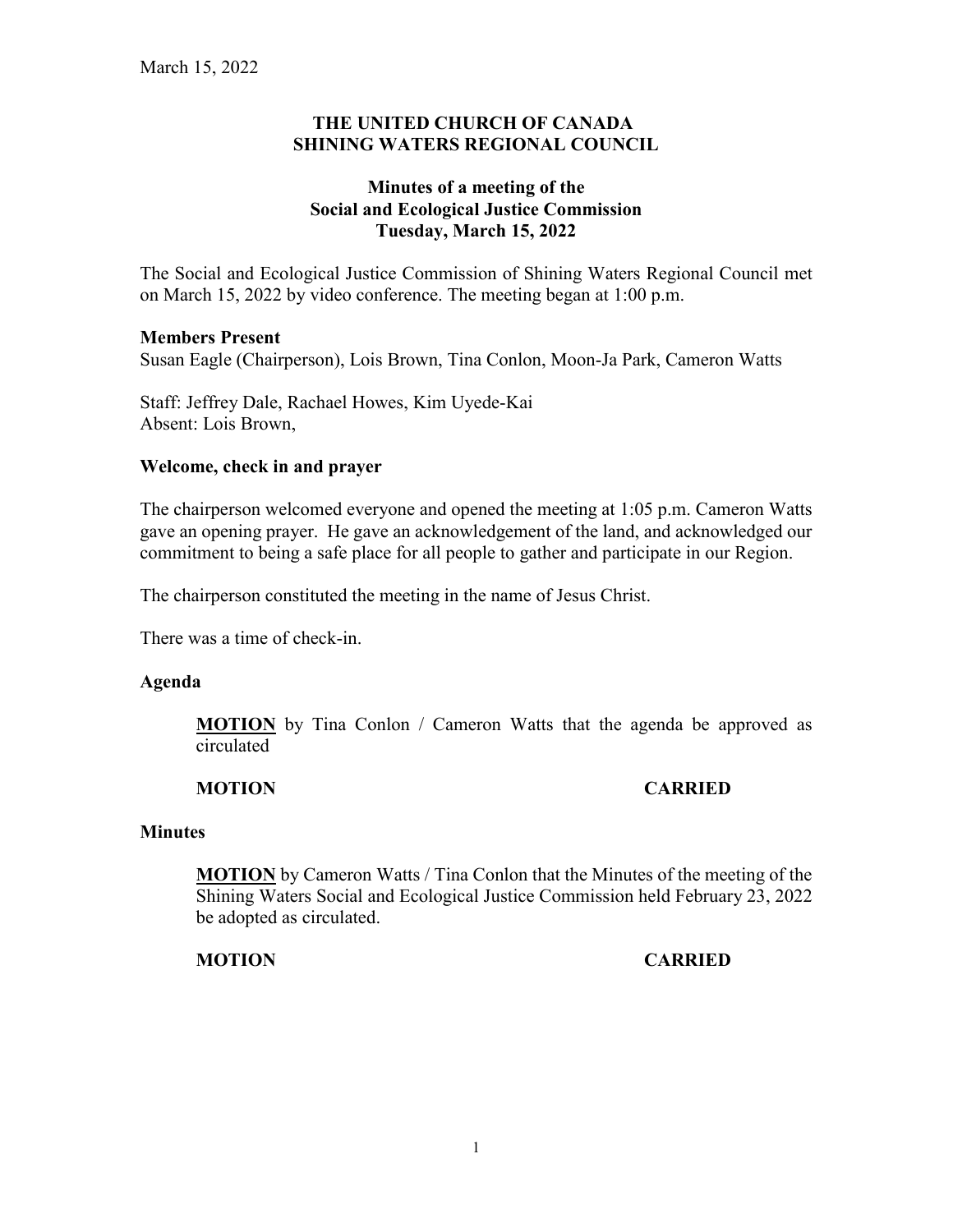### **THE UNITED CHURCH OF CANADA SHINING WATERS REGIONAL COUNCIL**

## **Minutes of a meeting of the Social and Ecological Justice Commission Tuesday, March 15, 2022**

The Social and Ecological Justice Commission of Shining Waters Regional Council met on March 15, 2022 by video conference. The meeting began at 1:00 p.m.

### **Members Present**

Susan Eagle (Chairperson), Lois Brown, Tina Conlon, Moon-Ja Park, Cameron Watts

Staff: Jeffrey Dale, Rachael Howes, Kim Uyede-Kai Absent: Lois Brown,

### **Welcome, check in and prayer**

The chairperson welcomed everyone and opened the meeting at 1:05 p.m. Cameron Watts gave an opening prayer. He gave an acknowledgement of the land, and acknowledged our commitment to being a safe place for all people to gather and participate in our Region.

The chairperson constituted the meeting in the name of Jesus Christ.

There was a time of check-in.

### **Agenda**

**MOTION** by Tina Conlon / Cameron Watts that the agenda be approved as circulated

## **MOTION CARRIED**

### **Minutes**

**MOTION** by Cameron Watts / Tina Conlon that the Minutes of the meeting of the Shining Waters Social and Ecological Justice Commission held February 23, 2022 be adopted as circulated.

## **MOTION CARRIED**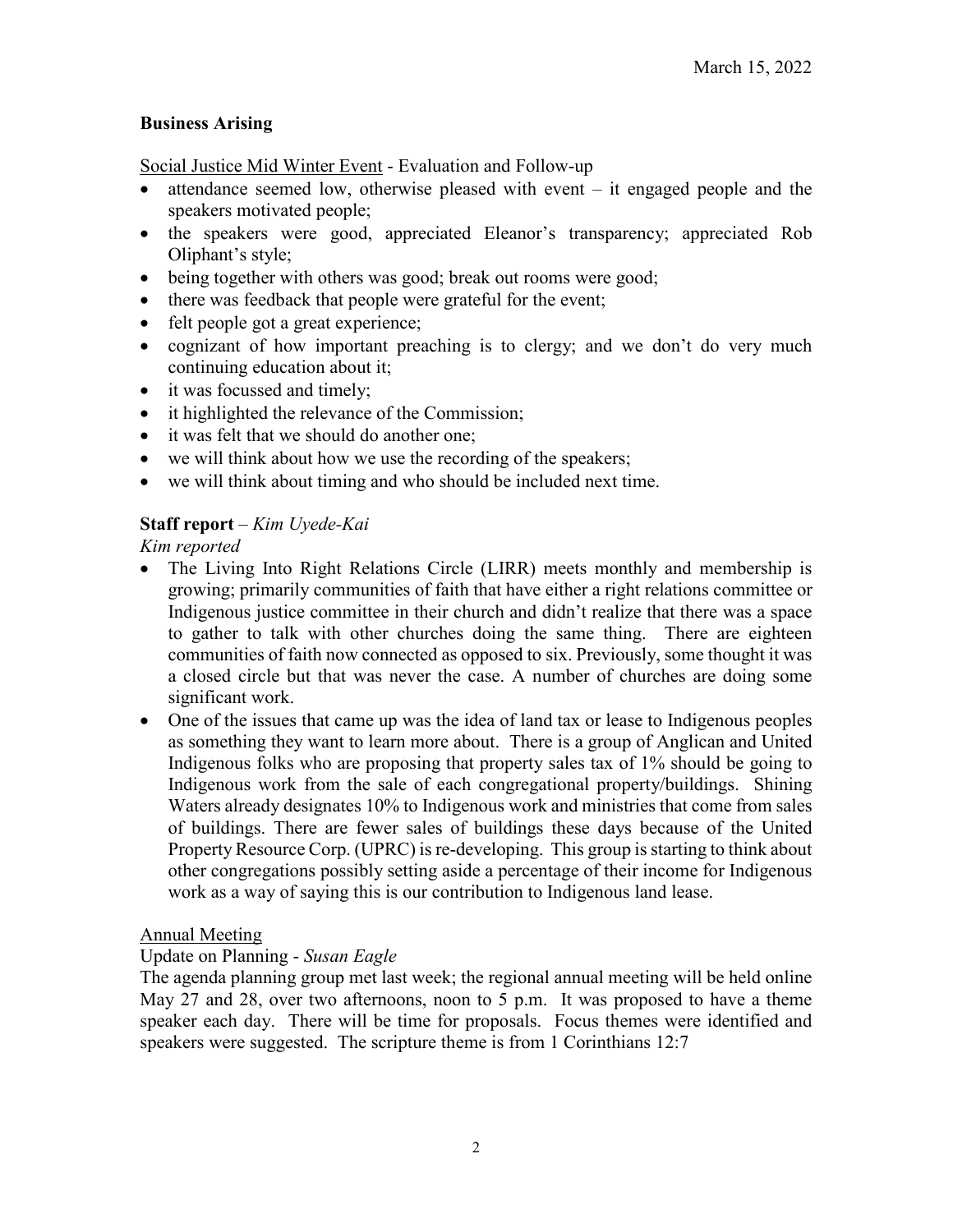## **Business Arising**

Social Justice Mid Winter Event - Evaluation and Follow-up

- attendance seemed low, otherwise pleased with event  $-$  it engaged people and the speakers motivated people;
- the speakers were good, appreciated Eleanor's transparency; appreciated Rob Oliphant's style;
- being together with others was good; break out rooms were good;
- there was feedback that people were grateful for the event;
- felt people got a great experience;
- cognizant of how important preaching is to clergy; and we don't do very much continuing education about it;
- it was focussed and timely;
- it highlighted the relevance of the Commission;
- it was felt that we should do another one;
- we will think about how we use the recording of the speakers;
- we will think about timing and who should be included next time.

## **Staff report** – *Kim Uyede-Kai*

*Kim reported*

- The Living Into Right Relations Circle (LIRR) meets monthly and membership is growing; primarily communities of faith that have either a right relations committee or Indigenous justice committee in their church and didn't realize that there was a space to gather to talk with other churches doing the same thing. There are eighteen communities of faith now connected as opposed to six. Previously, some thought it was a closed circle but that was never the case. A number of churches are doing some significant work.
- One of the issues that came up was the idea of land tax or lease to Indigenous peoples as something they want to learn more about. There is a group of Anglican and United Indigenous folks who are proposing that property sales tax of 1% should be going to Indigenous work from the sale of each congregational property/buildings. Shining Waters already designates 10% to Indigenous work and ministries that come from sales of buildings. There are fewer sales of buildings these days because of the United Property Resource Corp. (UPRC) is re-developing. This group is starting to think about other congregations possibly setting aside a percentage of their income for Indigenous work as a way of saying this is our contribution to Indigenous land lease.

### Annual Meeting

## Update on Planning - *Susan Eagle*

The agenda planning group met last week; the regional annual meeting will be held online May 27 and 28, over two afternoons, noon to 5 p.m. It was proposed to have a theme speaker each day. There will be time for proposals. Focus themes were identified and speakers were suggested. The scripture theme is from 1 Corinthians 12:7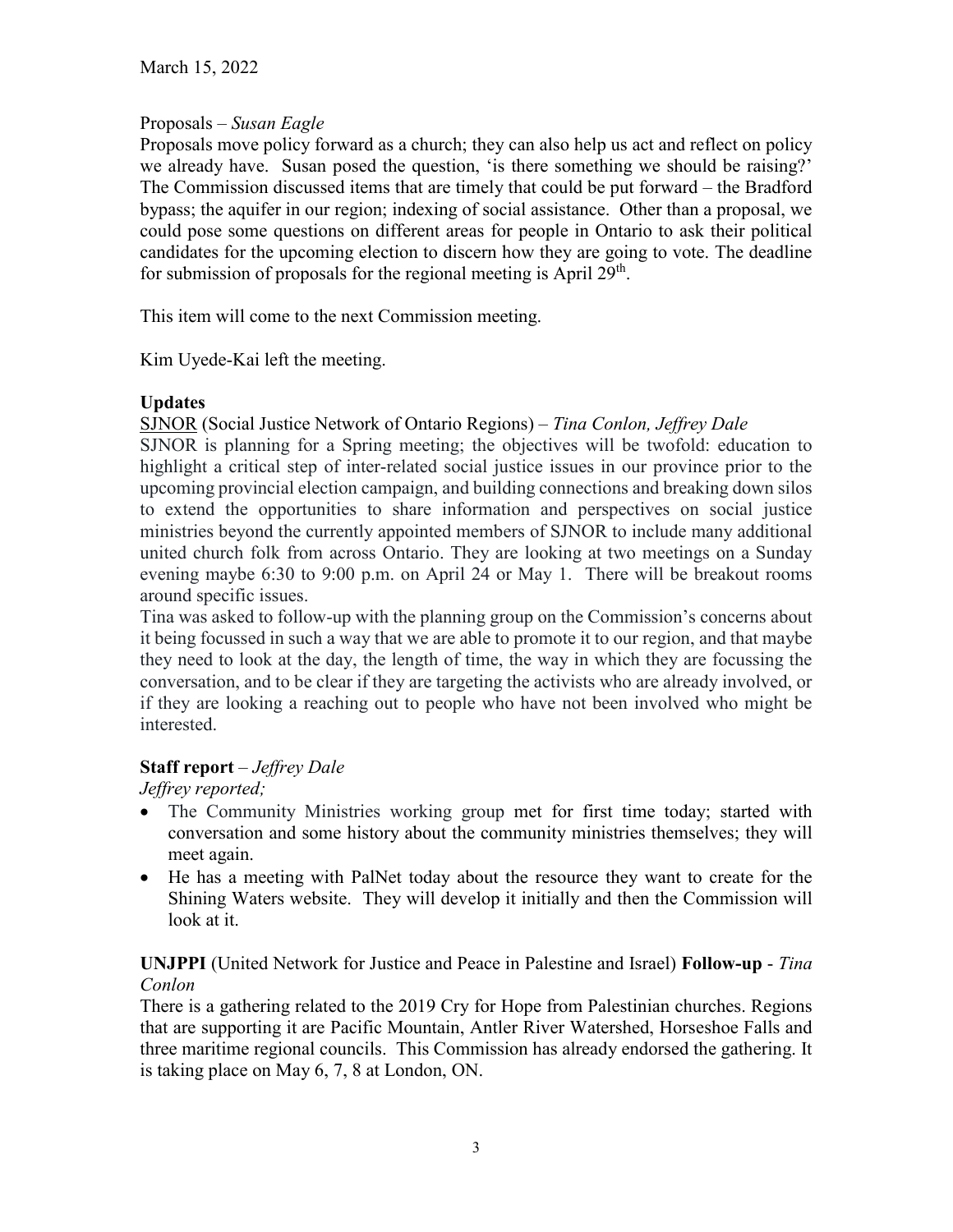# Proposals – *Susan Eagle*

Proposals move policy forward as a church; they can also help us act and reflect on policy we already have. Susan posed the question, 'is there something we should be raising?' The Commission discussed items that are timely that could be put forward – the Bradford bypass; the aquifer in our region; indexing of social assistance. Other than a proposal, we could pose some questions on different areas for people in Ontario to ask their political candidates for the upcoming election to discern how they are going to vote. The deadline for submission of proposals for the regional meeting is April  $29<sup>th</sup>$ .

This item will come to the next Commission meeting.

Kim Uyede-Kai left the meeting.

# **Updates**

SJNOR (Social Justice Network of Ontario Regions) *– Tina Conlon, Jeffrey Dale*

SJNOR is planning for a Spring meeting; the objectives will be twofold: education to highlight a critical step of inter-related social justice issues in our province prior to the upcoming provincial election campaign, and building connections and breaking down silos to extend the opportunities to share information and perspectives on social justice ministries beyond the currently appointed members of SJNOR to include many additional united church folk from across Ontario. They are looking at two meetings on a Sunday evening maybe 6:30 to 9:00 p.m. on April 24 or May 1. There will be breakout rooms around specific issues.

Tina was asked to follow-up with the planning group on the Commission's concerns about it being focussed in such a way that we are able to promote it to our region, and that maybe they need to look at the day, the length of time, the way in which they are focussing the conversation, and to be clear if they are targeting the activists who are already involved, or if they are looking a reaching out to people who have not been involved who might be interested.

# **Staff report** – *Jeffrey Dale*

*Jeffrey reported;* 

- The Community Ministries working group met for first time today; started with conversation and some history about the community ministries themselves; they will meet again.
- He has a meeting with PalNet today about the resource they want to create for the Shining Waters website. They will develop it initially and then the Commission will look at it.

# **UNJPPI** (United Network for Justice and Peace in Palestine and Israel) **Follow-up** - *Tina Conlon*

There is a gathering related to the 2019 Cry for Hope from Palestinian churches. Regions that are supporting it are Pacific Mountain, Antler River Watershed, Horseshoe Falls and three maritime regional councils. This Commission has already endorsed the gathering. It is taking place on May 6, 7, 8 at London, ON.